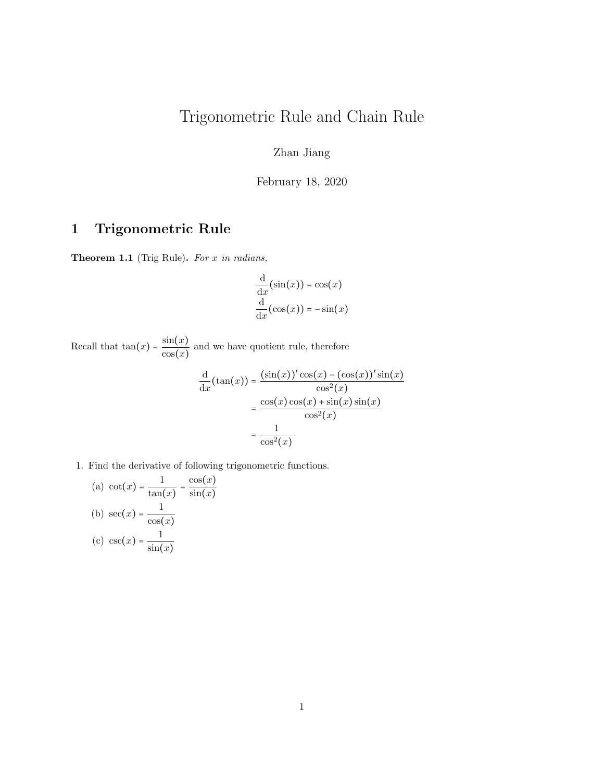## Trigonometric Rule and Chain Rule

Zhan Jiang

February 18, 2020

## 1 Trigonometric Rule

Theorem 1.1 (Trig Rule). For x in radians,

$$
\frac{d}{dx}(\sin(x)) = \cos(x)
$$

$$
\frac{d}{dx}(\cos(x)) = -\sin(x)
$$

Recall that  $tan(x) = \frac{sin(x)}{x}$  $\frac{\sin(\omega)}{\cos(x)}$  and we have quotient rule, therefore

$$
\frac{d}{dx}(\tan(x)) = \frac{(\sin(x))'\cos(x) - (\cos(x))'\sin(x)}{\cos^2(x)}
$$

$$
= \frac{\cos(x)\cos(x) + \sin(x)\sin(x)}{\cos^2(x)}
$$

$$
= \frac{1}{\cos^2(x)}
$$

1. Find the derivative of following trigonometric functions.

(a) 
$$
\cot(x) = \frac{1}{\tan(x)} = \frac{\cos(x)}{\sin(x)}
$$
  
\n(b)  $\sec(x) = \frac{1}{\cos(x)}$   
\n(c)  $\csc(x) = \frac{1}{\sin(x)}$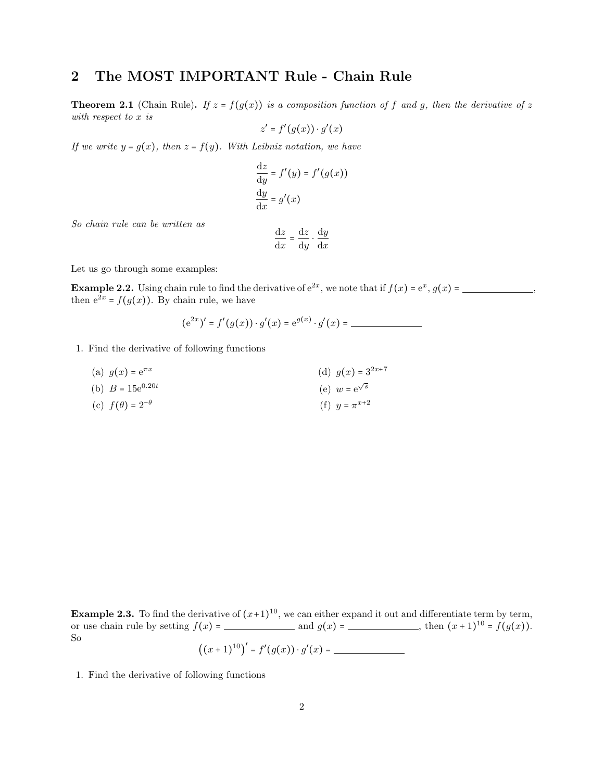## 2 The MOST IMPORTANT Rule - Chain Rule

**Theorem 2.1** (Chain Rule). If  $z = f(g(x))$  is a composition function of f and g, then the derivative of z with respect to x is

$$
z' = f'(g(x)) \cdot g'(x)
$$

If we write  $y = g(x)$ , then  $z = f(y)$ . With Leibniz notation, we have

$$
\frac{dz}{dy} = f'(y) = f'(g(x))
$$

$$
\frac{dy}{dx} = g'(x)
$$

So chain rule can be written as

$$
\frac{\mathrm{d}z}{\mathrm{d}x} = \frac{\mathrm{d}z}{\mathrm{d}y} \cdot \frac{\mathrm{d}y}{\mathrm{d}x}
$$

Let us go through some examples:

**Example 2.2.** Using chain rule to find the derivative of  $e^{2x}$ , we note that if  $f(x) = e^x$ ,  $g(x) =$  \_\_\_\_\_\_\_\_\_\_\_\_\_\_, then  $e^{2x} = f(g(x))$ . By chain rule, we have

$$
(e^{2x})' = f'(g(x)) \cdot g'(x) = e^{g(x)} \cdot g'(x) =
$$

- 1. Find the derivative of following functions
	- (a)  $g(x) = e^{\pi x}$ (b)  $B = 15e^{0.20t}$ (c)  $f(\theta) = 2^{-\theta}$ (d)  $g(x) = 3^{2x+7}$ (e)  $w = e^{\sqrt{s}}$ (f)  $y = \pi^{x+2}$

**Example 2.3.** To find the derivative of  $(x+1)^{10}$ , we can either expand it out and differentiate term by term, or use chain rule by setting  $f(x) =$  and  $g(x) =$  , then  $(x+1)^{10} = f(g(x))$ . So

$$
((x+1)^{10})' = f'(g(x)) \cdot g'(x) = \underline{\hspace{2cm}}
$$

1. Find the derivative of following functions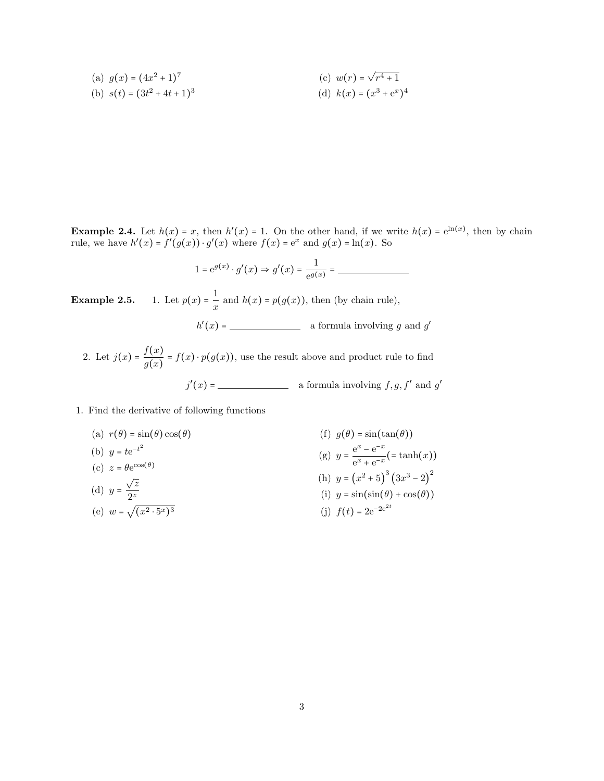(a) 
$$
g(x) = (4x^2 + 1)^7
$$
  
\n(b)  $s(t) = (3t^2 + 4t + 1)^3$   
\n(c)  $w(r) = \sqrt{r^4 + 1}$   
\n(d)  $k(x) = (x^3 + e^x)^4$ 

**Example 2.4.** Let  $h(x) = x$ , then  $h'(x) = 1$ . On the other hand, if we write  $h(x) = e^{\ln(x)}$ , then by chain rule, we have  $h'(x) = f'(g(x)) \cdot g'(x)$  where  $f(x) = e^x$  and  $g(x) = \ln(x)$ . So

$$
1 = e^{g(x)} \cdot g'(x) \Rightarrow g'(x) = \frac{1}{e^{g(x)}} =
$$

**Example 2.5.** 1. Let  $p(x) = \frac{1}{x}$  $\frac{1}{x}$  and  $h(x) = p(g(x))$ , then (by chain rule),  $h'(x) =$  a formula involving g and g'

2. Let  $j(x) = \frac{f(x)}{f(x)}$  $\frac{f(x)}{g(x)} = f(x) \cdot p(g(x))$ , use the result above and product rule to find  $j'(x) =$  a formula involving  $f, g, f'$  and  $g'$ 

1. Find the derivative of following functions

(a) 
$$
r(\theta) = \sin(\theta) \cos(\theta)
$$
  
\n(b)  $y = te^{-t^2}$   
\n(c)  $z = \theta e^{\cos(\theta)}$   
\n(d)  $y = \frac{\sqrt{z}}{2^z}$   
\n(e)  $w = \sqrt{x^2 \cdot 5^x} = \sqrt{x^2 \cdot 5^x}$   
\n(f)  $g(\theta) = \sin(\tan(\theta))$   
\n(g)  $y = \frac{e^x - e^{-x}}{e^x + e^{-x}} = \tanh(x)$   
\n(h)  $y = (x^2 + 5)^3 (3x^3 - 2)^2$   
\n(i)  $y = \sin(\sin(\theta) + \cos(\theta))$   
\n(j)  $f(t) = 2e^{-2e^{2t}}$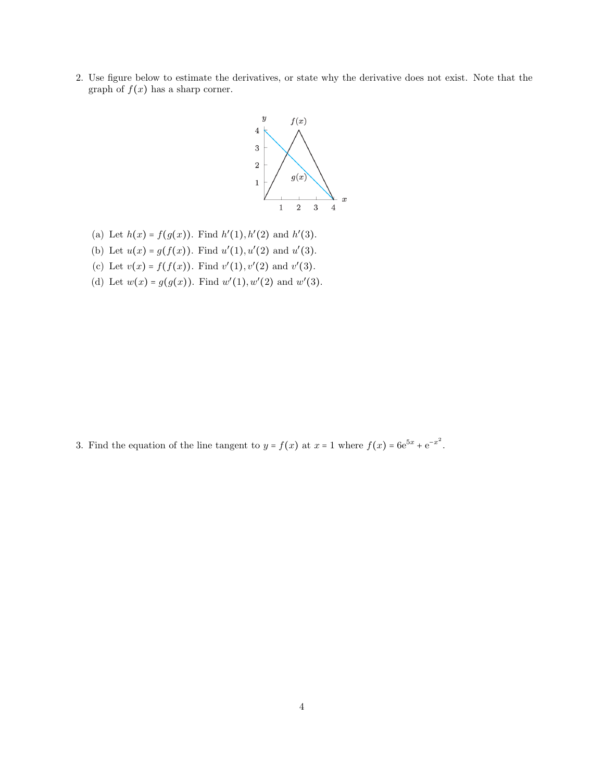2. Use figure below to estimate the derivatives, or state why the derivative does not exist. Note that the graph of  $f(x)$  has a sharp corner.



- (a) Let  $h(x) = f(g(x))$ . Find  $h'(1), h'(2)$  and  $h'(3)$ .
- (b) Let  $u(x) = g(f(x))$ . Find  $u'(1), u'(2)$  and  $u'(3)$ .
- (c) Let  $v(x) = f(f(x))$ . Find  $v'(1), v'(2)$  and  $v'(3)$ .
- (d) Let  $w(x) = g(g(x))$ . Find  $w'(1), w'(2)$  and  $w'(3)$ .

3. Find the equation of the line tangent to  $y = f(x)$  at  $x = 1$  where  $f(x) = 6e^{5x} + e^{-x^2}$ .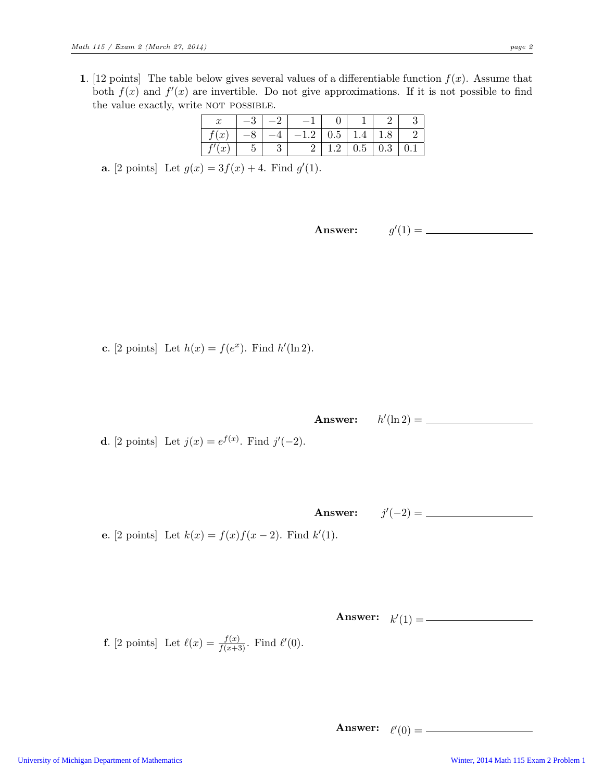1. [12 points] The table below gives several values of a differentiable function  $f(x)$ . Assume that both  $f(x)$  and  $f'(x)$  are invertible. Do not give approximations. If it is not possible to find the value exactly, write NOT POSSIBLE.

| IJ                                   |  |   |                 |     |     |  |
|--------------------------------------|--|---|-----------------|-----|-----|--|
| $\boldsymbol{x}$                     |  | ി | U. <sub>D</sub> | 1.4 | ⊥.∪ |  |
| $\alpha$<br>$\overline{\mathcal{U}}$ |  |   |                 | 0.5 | 0.3 |  |

**a.** [2 points] Let  $g(x) = 3f(x) + 4$ . Find  $g'(1)$ .

Answer:  $'(1) =$ 

c. [2 points] Let  $h(x) = f(e^x)$ . Find  $h'(\ln 2)$ .

Answer:  $\prime(\ln 2) =$ 

**d**. [2 points] Let  $j(x) = e^{f(x)}$ . Find  $j'(-2)$ .

Answer:  $j'(-2) =$ 

e. [2 points] Let  $k(x) = f(x)f(x-2)$ . Find  $k'(1)$ .

Answer:  $k'(1) =$ 

**f.** [2 points] Let 
$$
\ell(x) = \frac{f(x)}{f(x+3)}
$$
. Find  $\ell'(0)$ .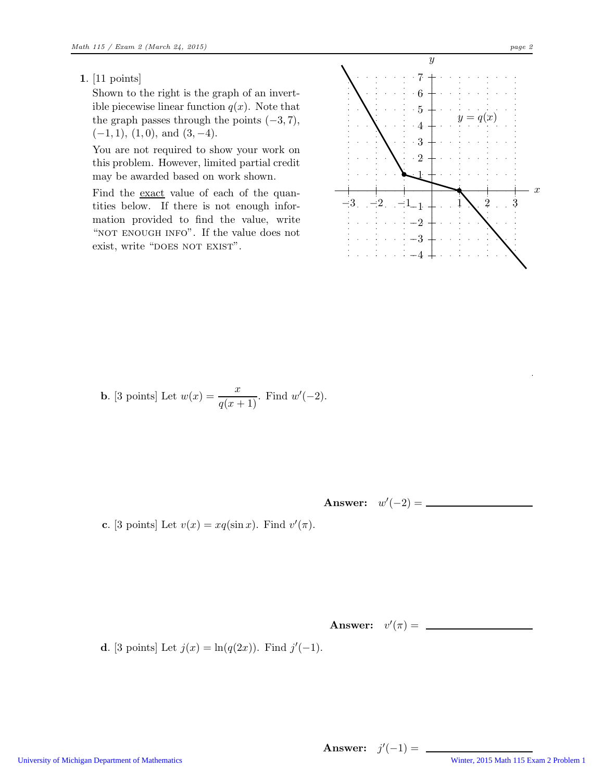## 1. [11 points]

Shown to the right is the graph of an invertible piecewise linear function  $q(x)$ . Note that the graph passes through the points  $(-3, 7)$ ,  $(-1, 1), (1, 0), \text{ and } (3, -4).$ 

You are not required to show your work on this problem. However, limited partial credit may be awarded based on work shown.

Find the exact value of each of the quantities below. If there is not enough information provided to find the value, write "NOT ENOUGH INFO". If the value does not exist, write "DOES NOT EXIST".



**b.** [3 points] Let  $w(x) = \frac{x}{q(x+1)}$ . Find  $w'(-2)$ .

Answer:  $w'(-2) =$ 

c. [3 points] Let  $v(x) = xq(\sin x)$ . Find  $v'(\pi)$ .

**Answer:**  $v'(\pi) =$ 

**d**. [3 points] Let  $j(x) = \ln(q(2x))$ . Find  $j'(-1)$ .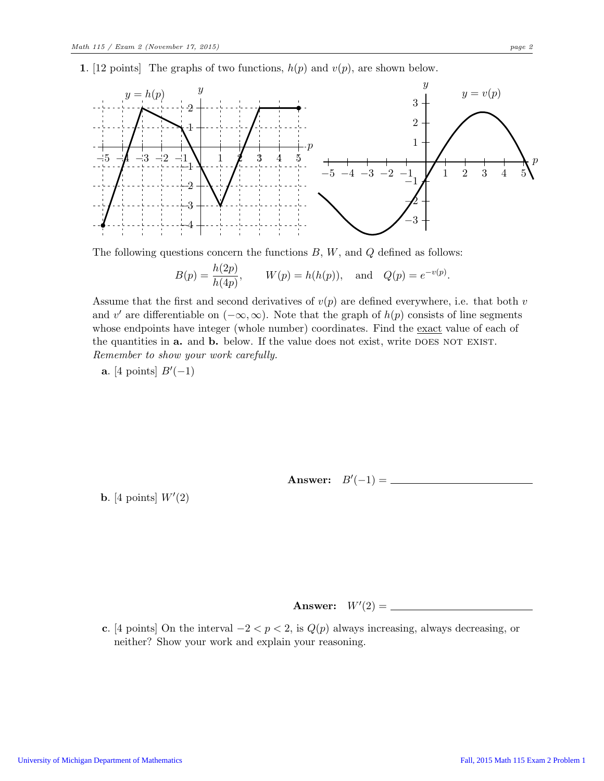1. [12 points] The graphs of two functions,  $h(p)$  and  $v(p)$ , are shown below.



The following questions concern the functions  $B, W$ , and  $Q$  defined as follows:

$$
B(p) = \frac{h(2p)}{h(4p)},
$$
  $W(p) = h(h(p)),$  and  $Q(p) = e^{-v(p)}.$ 

Assume that the first and second derivatives of  $v(p)$  are defined everywhere, i.e. that both v and v' are differentiable on  $(-\infty, \infty)$ . Note that the graph of  $h(p)$  consists of line segments whose endpoints have integer (whole number) coordinates. Find the exact value of each of the quantities in **a.** and **b.** below. If the value does not exist, write DOES NOT EXIST. Remember to show your work carefully.

a. [4 points]  $B'(-1)$ 

Answer:  $B'(-1) =$ 

**b.** [4 points]  $W'(2)$ 

Answer:  $W'(2) =$ 

c. [4 points] On the interval  $-2 < p < 2$ , is  $Q(p)$  always increasing, always decreasing, or neither? Show your work and explain your reasoning.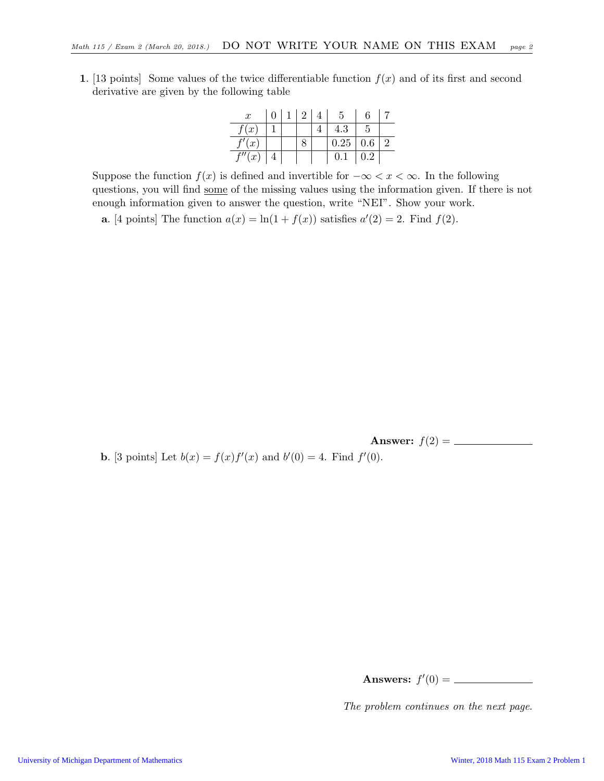1. [13 points] Some values of the twice differentiable function  $f(x)$  and of its first and second derivative are given by the following table

| $\boldsymbol{x}$ | 0 | $\overline{2}$ |      | 6         |               |
|------------------|---|----------------|------|-----------|---------------|
| f(x)             |   |                | 4.3  | h,        |               |
| f'(x)            |   |                | 0.25 | $0.6\,$   | $\mathcal{D}$ |
| $\sqrt[\ell]{x}$ |   |                | 0.1  | $\rm 0.2$ |               |

Suppose the function  $f(x)$  is defined and invertible for  $-\infty < x < \infty$ . In the following questions, you will find some of the missing values using the information given. If there is not enough information given to answer the question, write "NEI". Show your work.

**a.** [4 points] The function  $a(x) = \ln(1 + f(x))$  satisfies  $a'(2) = 2$ . Find  $f(2)$ .

Answer: f(2) =

**b.** [3 points] Let  $b(x) = f(x)f'(x)$  and  $b'(0) = 4$ . Find  $f'(0)$ .

| Answers: $f'(0)$ |  |  |
|------------------|--|--|
|------------------|--|--|

The problem continues on the next page.